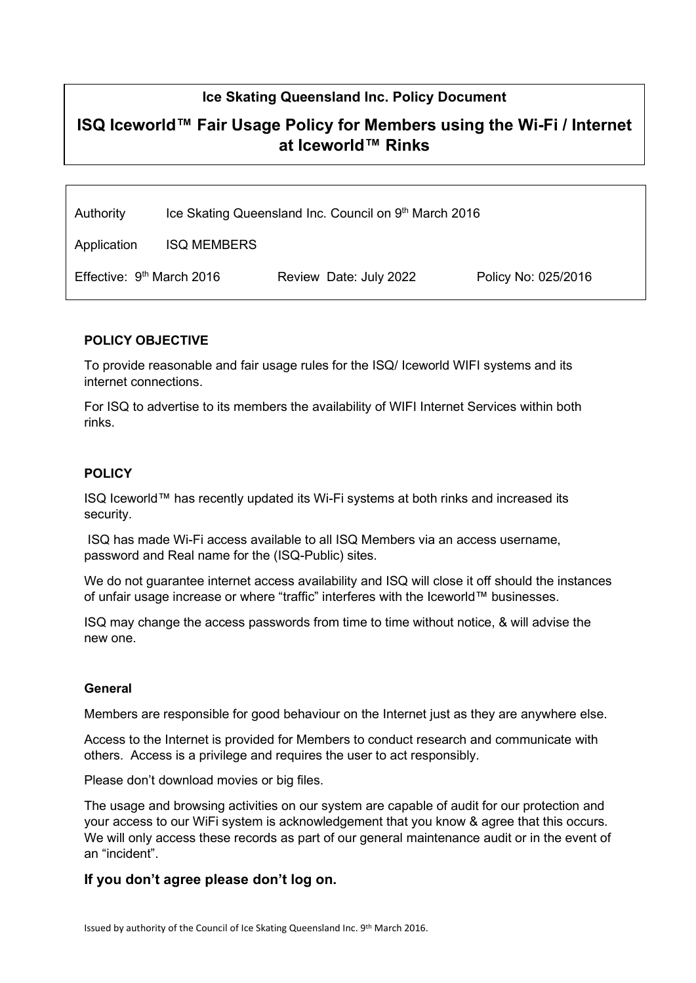## Ice Skating Queensland Inc. Policy Document

# ISQ Iceworld™ Fair Usage Policy for Members using the Wi-Fi / Internet at Iceworld™ Rinks

Authority Ice Skating Queensland Inc. Council on 9th March 2016

Application ISQ MEMBERS

| Effective: 9 <sup>th</sup> March 2016 | Review Date: July 2022 | Policy No: 025/2016 |
|---------------------------------------|------------------------|---------------------|
|                                       |                        |                     |

#### POLICY OBJECTIVE

To provide reasonable and fair usage rules for the ISQ/ Iceworld WIFI systems and its internet connections.

For ISQ to advertise to its members the availability of WIFI Internet Services within both rinks.

#### **POLICY**

ISQ Iceworld™ has recently updated its Wi-Fi systems at both rinks and increased its security.

 ISQ has made Wi-Fi access available to all ISQ Members via an access username, password and Real name for the (ISQ-Public) sites.

We do not guarantee internet access availability and ISQ will close it off should the instances of unfair usage increase or where "traffic" interferes with the Iceworld™ businesses.

ISQ may change the access passwords from time to time without notice, & will advise the new one.

#### General

Members are responsible for good behaviour on the Internet just as they are anywhere else.

Access to the Internet is provided for Members to conduct research and communicate with others. Access is a privilege and requires the user to act responsibly.

Please don't download movies or big files.

The usage and browsing activities on our system are capable of audit for our protection and your access to our WiFi system is acknowledgement that you know & agree that this occurs. We will only access these records as part of our general maintenance audit or in the event of an "incident".

### If you don't agree please don't log on.